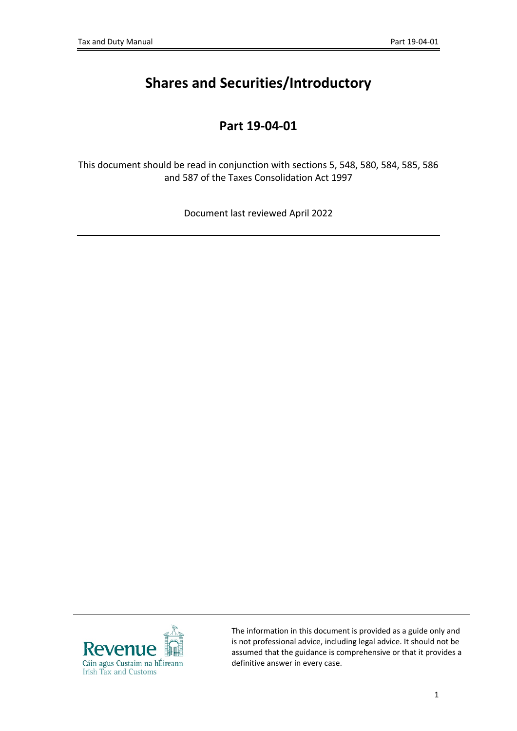# **Shares and Securities/Introductory**

# **Part 19-04-01**

This document should be read in conjunction with sections 5, 548, 580, 584, 585, 586 and 587 of the Taxes Consolidation Act 1997

Document last reviewed April 2022



The information in this document is provided as a guide only and is not professional advice, including legal advice. It should not be assumed that the guidance is comprehensive or that it provides a definitive answer in every case.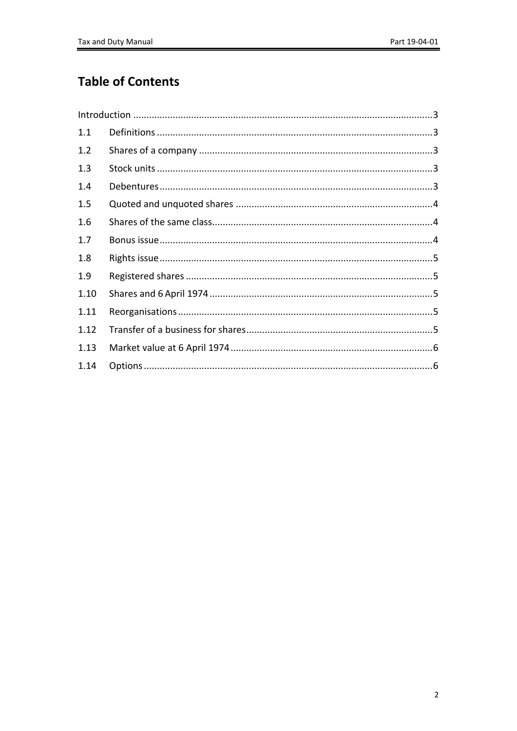# **Table of Contents**

| 1.1  |  |
|------|--|
| 1.2  |  |
| 1.3  |  |
| 1.4  |  |
| 1.5  |  |
| 1.6  |  |
| 1.7  |  |
| 1.8  |  |
| 1.9  |  |
| 1.10 |  |
| 1.11 |  |
| 1.12 |  |
| 1.13 |  |
| 1.14 |  |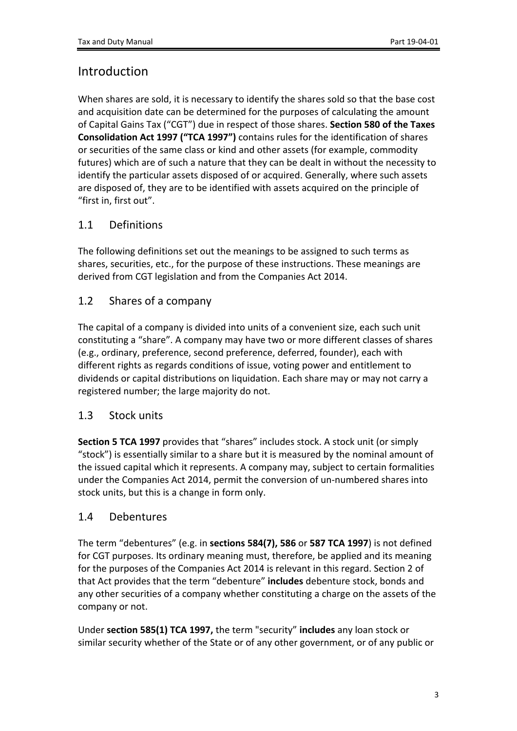# <span id="page-2-0"></span>Introduction

When shares are sold, it is necessary to identify the shares sold so that the base cost and acquisition date can be determined for the purposes of calculating the amount of Capital Gains Tax ("CGT") due in respect of those shares. **Section 580 of the Taxes Consolidation Act 1997 ("TCA 1997")** contains rules for the identification of shares or securities of the same class or kind and other assets (for example, commodity futures) which are of such a nature that they can be dealt in without the necessity to identify the particular assets disposed of or acquired. Generally, where such assets are disposed of, they are to be identified with assets acquired on the principle of "first in, first out".

# <span id="page-2-1"></span>1.1 Definitions

The following definitions set out the meanings to be assigned to such terms as shares, securities, etc., for the purpose of these instructions. These meanings are derived from CGT legislation and from the Companies Act 2014.

# <span id="page-2-2"></span>1.2 Shares of a company

The capital of a company is divided into units of a convenient size, each such unit constituting a "share". A company may have two or more different classes of shares (e.g., ordinary, preference, second preference, deferred, founder), each with different rights as regards conditions of issue, voting power and entitlement to dividends or capital distributions on liquidation. Each share may or may not carry a registered number; the large majority do not.

#### <span id="page-2-3"></span>1.3 Stock units

**Section 5 TCA 1997** provides that "shares" includes stock. A stock unit (or simply "stock") is essentially similar to a share but it is measured by the nominal amount of the issued capital which it represents. A company may, subject to certain formalities under the Companies Act 2014, permit the conversion of un-numbered shares into stock units, but this is a change in form only.

#### <span id="page-2-4"></span>1.4 Debentures

The term "debentures" (e.g. in **sections 584(7), 586** or **587 TCA 1997**) is not defined for CGT purposes. Its ordinary meaning must, therefore, be applied and its meaning for the purposes of the Companies Act 2014 is relevant in this regard. Section 2 of that Act provides that the term "debenture" **includes** debenture stock, bonds and any other securities of a company whether constituting a charge on the assets of the company or not.

Under **section 585(1) TCA 1997,** the term "security" **includes** any loan stock or similar security whether of the State or of any other government, or of any public or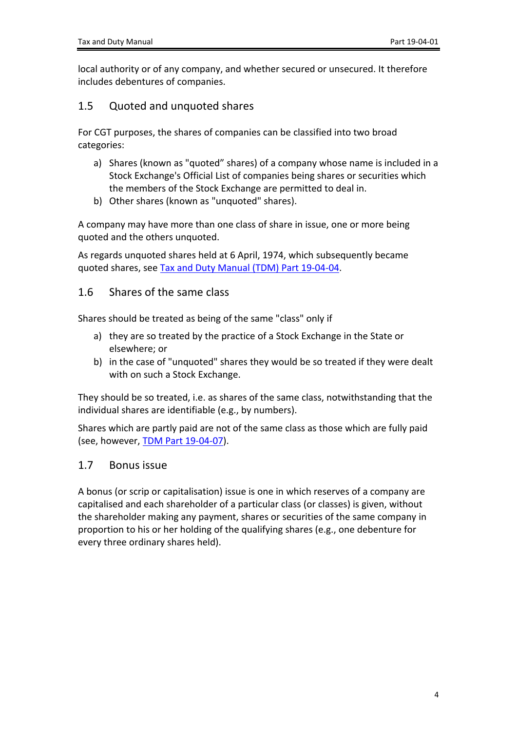local authority or of any company, and whether secured or unsecured. It therefore includes debentures of companies.

### <span id="page-3-0"></span>1.5 Quoted and unquoted shares

For CGT purposes, the shares of companies can be classified into two broad categories:

- a) Shares (known as "quoted" shares) of a company whose name is included in a Stock Exchange's Official List of companies being shares or securities which the members of the Stock Exchange are permitted to deal in.
- b) Other shares (known as "unquoted" shares).

A company may have more than one class of share in issue, one or more being quoted and the others unquoted.

As regards unquoted shares held at 6 April, 1974, which subsequently became quoted shares, see [Tax](https://www.revenue.ie/en/tax-professionals/tdm/income-tax-capital-gains-tax-corporation-tax/part-19/19-04-04.pdf) [and](https://www.revenue.ie/en/tax-professionals/tdm/income-tax-capital-gains-tax-corporation-tax/part-19/19-04-04.pdf) [Duty](https://www.revenue.ie/en/tax-professionals/tdm/income-tax-capital-gains-tax-corporation-tax/part-19/19-04-04.pdf) [Manual](https://www.revenue.ie/en/tax-professionals/tdm/income-tax-capital-gains-tax-corporation-tax/part-19/19-04-04.pdf) [\(TDM\)](https://www.revenue.ie/en/tax-professionals/tdm/income-tax-capital-gains-tax-corporation-tax/part-19/19-04-04.pdf) [Part](https://www.revenue.ie/en/tax-professionals/tdm/income-tax-capital-gains-tax-corporation-tax/part-19/19-04-04.pdf) [19-04-04.](https://www.revenue.ie/en/tax-professionals/tdm/income-tax-capital-gains-tax-corporation-tax/part-19/19-04-04.pdf)

#### <span id="page-3-1"></span>1.6 Shares of the same class

Shares should be treated as being of the same "class" only if

- a) they are so treated by the practice of a Stock Exchange in the State or elsewhere; or
- b) in the case of "unquoted" shares they would be so treated if they were dealt with on such a Stock Exchange.

They should be so treated, i.e. as shares of the same class, notwithstanding that the individual shares are identifiable (e.g., by numbers).

Shares which are partly paid are not of the same class as those which are fully paid (see, however, [TDM](https://www.revenue.ie/en/tax-professionals/tdm/income-tax-capital-gains-tax-corporation-tax/part-19/19-04-07.pdf) [Part](https://www.revenue.ie/en/tax-professionals/tdm/income-tax-capital-gains-tax-corporation-tax/part-19/19-04-07.pdf) [19-04-07](https://www.revenue.ie/en/tax-professionals/tdm/income-tax-capital-gains-tax-corporation-tax/part-19/19-04-07.pdf)).

#### <span id="page-3-2"></span>1.7 Bonus issue

A bonus (or scrip or capitalisation) issue is one in which reserves of a company are capitalised and each shareholder of a particular class (or classes) is given, without the shareholder making any payment, shares or securities of the same company in proportion to his or her holding of the qualifying shares (e.g., one debenture for every three ordinary shares held).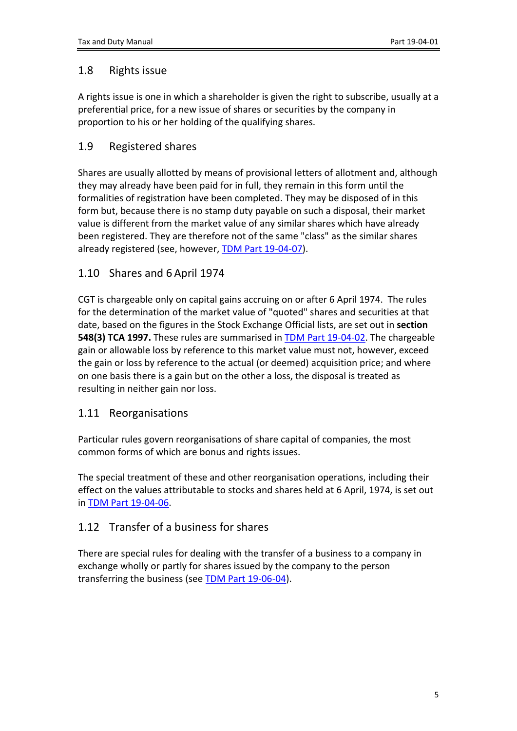### <span id="page-4-0"></span>1.8 Rights issue

A rights issue is one in which a shareholder is given the right to subscribe, usually at a preferential price, for a new issue of shares or securities by the company in proportion to his or her holding of the qualifying shares.

# <span id="page-4-1"></span>1.9 Registered shares

Shares are usually allotted by means of provisional letters of allotment and, although they may already have been paid for in full, they remain in this form until the formalities of registration have been completed. They may be disposed of in this form but, because there is no stamp duty payable on such a disposal, their market value is different from the market value of any similar shares which have already been registered. They are therefore not of the same "class" as the similar shares already registered (see, however, [TDM](https://www.revenue.ie/en/tax-professionals/tdm/income-tax-capital-gains-tax-corporation-tax/part-19/19-04-07.pdf) [Part](https://www.revenue.ie/en/tax-professionals/tdm/income-tax-capital-gains-tax-corporation-tax/part-19/19-04-07.pdf) [19-04-07](https://www.revenue.ie/en/tax-professionals/tdm/income-tax-capital-gains-tax-corporation-tax/part-19/19-04-07.pdf)).

# <span id="page-4-2"></span>1.10 Shares and 6 April 1974

CGT is chargeable only on capital gains accruing on or after 6 April 1974. The rules for the determination of the market value of "quoted" shares and securities at that date, based on the figures in the Stock Exchange Official lists, are set out in **section 548(3) TCA 1997.** These rules are summarised in [TDM](https://www.revenue.ie/en/tax-professionals/tdm/income-tax-capital-gains-tax-corporation-tax/part-19/19-04-02.pdf) [Part](https://www.revenue.ie/en/tax-professionals/tdm/income-tax-capital-gains-tax-corporation-tax/part-19/19-04-02.pdf) [19-04-02.](https://www.revenue.ie/en/tax-professionals/tdm/income-tax-capital-gains-tax-corporation-tax/part-19/19-04-02.pdf) The chargeable gain or allowable loss by reference to this market value must not, however, exceed the gain or loss by reference to the actual (or deemed) acquisition price; and where on one basis there is a gain but on the other a loss, the disposal is treated as resulting in neither gain nor loss.

#### <span id="page-4-3"></span>1.11 Reorganisations

Particular rules govern reorganisations of share capital of companies, the most common forms of which are bonus and rights issues.

The special treatment of these and other reorganisation operations, including their effect on the values attributable to stocks and shares held at 6 April, 1974, is set out in [TDM](https://www.revenue.ie/en/tax-professionals/tdm/income-tax-capital-gains-tax-corporation-tax/part-19/19-04-06.pdf) [Part](https://www.revenue.ie/en/tax-professionals/tdm/income-tax-capital-gains-tax-corporation-tax/part-19/19-04-06.pdf) [19-04-06.](https://www.revenue.ie/en/tax-professionals/tdm/income-tax-capital-gains-tax-corporation-tax/part-19/19-04-06.pdf)

#### <span id="page-4-4"></span>1.12 Transfer of a business for shares

There are special rules for dealing with the transfer of a business to a company in exchange wholly or partly for shares issued by the company to the person transferring the business (see [TDM](https://www.revenue.ie/en/tax-professionals/tdm/income-tax-capital-gains-tax-corporation-tax/part-19/19-06-04.pdf) [Part](https://www.revenue.ie/en/tax-professionals/tdm/income-tax-capital-gains-tax-corporation-tax/part-19/19-06-04.pdf) [19-06-04\)](https://www.revenue.ie/en/tax-professionals/tdm/income-tax-capital-gains-tax-corporation-tax/part-19/19-06-04.pdf).